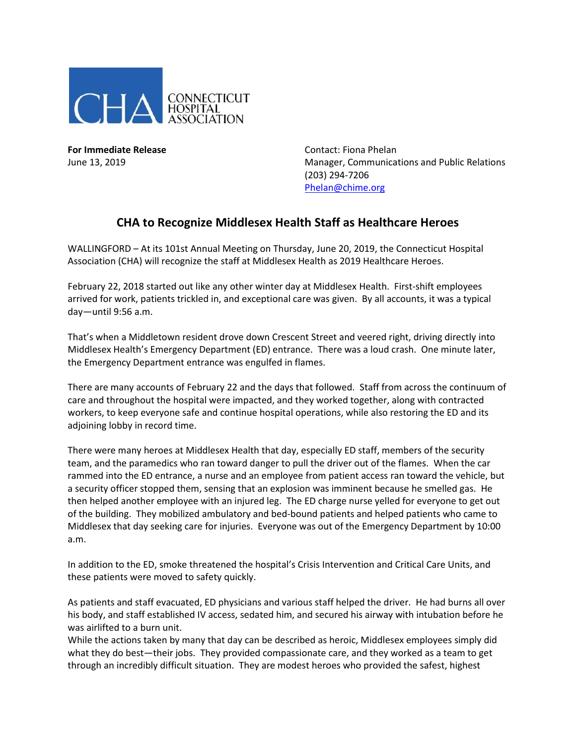

**For Immediate Release**  The Contact: Fiona Phelan

June 13, 2019 Manager, Communications and Public Relations (203) 294-7206 [Phelan@chime.org](mailto:Phelan@chime.org)

## **CHA to Recognize Middlesex Health Staff as Healthcare Heroes**

WALLINGFORD – At its 101st Annual Meeting on Thursday, June 20, 2019, the Connecticut Hospital Association (CHA) will recognize the staff at Middlesex Health as 2019 Healthcare Heroes.

February 22, 2018 started out like any other winter day at Middlesex Health. First-shift employees arrived for work, patients trickled in, and exceptional care was given. By all accounts, it was a typical day—until 9:56 a.m.

That's when a Middletown resident drove down Crescent Street and veered right, driving directly into Middlesex Health's Emergency Department (ED) entrance. There was a loud crash. One minute later, the Emergency Department entrance was engulfed in flames.

There are many accounts of February 22 and the days that followed. Staff from across the continuum of care and throughout the hospital were impacted, and they worked together, along with contracted workers, to keep everyone safe and continue hospital operations, while also restoring the ED and its adjoining lobby in record time.

There were many heroes at Middlesex Health that day, especially ED staff, members of the security team, and the paramedics who ran toward danger to pull the driver out of the flames. When the car rammed into the ED entrance, a nurse and an employee from patient access ran toward the vehicle, but a security officer stopped them, sensing that an explosion was imminent because he smelled gas. He then helped another employee with an injured leg. The ED charge nurse yelled for everyone to get out of the building. They mobilized ambulatory and bed-bound patients and helped patients who came to Middlesex that day seeking care for injuries. Everyone was out of the Emergency Department by 10:00 a.m.

In addition to the ED, smoke threatened the hospital's Crisis Intervention and Critical Care Units, and these patients were moved to safety quickly.

As patients and staff evacuated, ED physicians and various staff helped the driver. He had burns all over his body, and staff established IV access, sedated him, and secured his airway with intubation before he was airlifted to a burn unit.

While the actions taken by many that day can be described as heroic, Middlesex employees simply did what they do best—their jobs. They provided compassionate care, and they worked as a team to get through an incredibly difficult situation. They are modest heroes who provided the safest, highest